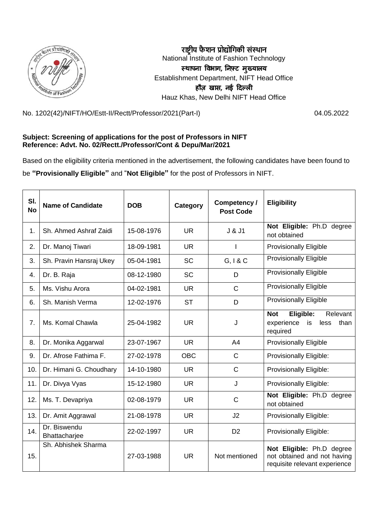

**राष्ट्रीय फै शन प्रोद्योगिकी संस्थान** National Institute of Fashion Technology **स्थापना विभाग, ननफ़्ट मख्ु यालय** Establishment Department, NIFT Head Office **हौज़ खास, नई दिल्ली** Hauz Khas, New Delhi NIFT Head Office

No. 1202(42)/NIFT/HO/Estt-II/Rectt/Professor/2021(Part-I) 04.05.2022

## **Subject: Screening of applications for the post of Professors in NIFT Reference: Advt. No. 02/Rectt./Professor/Cont & Depu/Mar/2021**

Based on the eligibility criteria mentioned in the advertisement, the following candidates have been found to

be **"Provisionally Eligible"** and "**Not Eligible"** for the post of Professors in NIFT.

| SI.<br><b>No</b> | <b>Name of Candidate</b>      | <b>DOB</b> | Category   | Competency /<br><b>Post Code</b> | <b>Eligibility</b>                                                                        |
|------------------|-------------------------------|------------|------------|----------------------------------|-------------------------------------------------------------------------------------------|
| 1.               | Sh. Ahmed Ashraf Zaidi        | 15-08-1976 | <b>UR</b>  | J & J1                           | Not Eligible: Ph.D degree<br>not obtained                                                 |
| 2.               | Dr. Manoj Tiwari              | 18-09-1981 | <b>UR</b>  |                                  | <b>Provisionally Eligible</b>                                                             |
| 3.               | Sh. Pravin Hansraj Ukey       | 05-04-1981 | <b>SC</b>  | G, I & C                         | <b>Provisionally Eligible</b>                                                             |
| 4.               | Dr. B. Raja                   | 08-12-1980 | <b>SC</b>  | D                                | <b>Provisionally Eligible</b>                                                             |
| 5.               | Ms. Vishu Arora               | 04-02-1981 | <b>UR</b>  | $\mathsf C$                      | <b>Provisionally Eligible</b>                                                             |
| 6.               | Sh. Manish Verma              | 12-02-1976 | <b>ST</b>  | D                                | <b>Provisionally Eligible</b>                                                             |
| 7.               | Ms. Komal Chawla              | 25-04-1982 | <b>UR</b>  | J                                | Eligible:<br>Relevant<br><b>Not</b><br>experience<br>is<br>less<br>than<br>required       |
| 8.               | Dr. Monika Aggarwal           | 23-07-1967 | <b>UR</b>  | A4                               | <b>Provisionally Eligible</b>                                                             |
| 9.               | Dr. Afrose Fathima F.         | 27-02-1978 | <b>OBC</b> | $\mathsf{C}$                     | Provisionally Eligible:                                                                   |
| 10.              | Dr. Himani G. Choudhary       | 14-10-1980 | <b>UR</b>  | $\mathsf{C}$                     | Provisionally Eligible:                                                                   |
| 11.              | Dr. Divya Vyas                | 15-12-1980 | <b>UR</b>  | J                                | Provisionally Eligible:                                                                   |
| 12.              | Ms. T. Devapriya              | 02-08-1979 | <b>UR</b>  | $\mathsf{C}$                     | Not Eligible: Ph.D degree<br>not obtained                                                 |
| 13.              | Dr. Amit Aggrawal             | 21-08-1978 | <b>UR</b>  | J <sub>2</sub>                   | Provisionally Eligible:                                                                   |
| 14.              | Dr. Biswendu<br>Bhattacharjee | 22-02-1997 | <b>UR</b>  | D <sub>2</sub>                   | Provisionally Eligible:                                                                   |
| 15.              | Sh. Abhishek Sharma           | 27-03-1988 | <b>UR</b>  | Not mentioned                    | Not Eligible: Ph.D degree<br>not obtained and not having<br>requisite relevant experience |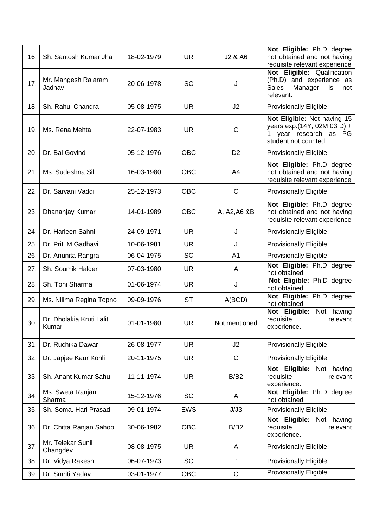| 16. | Sh. Santosh Kumar Jha             | 18-02-1979 | <b>UR</b>  | J2 & A6        | Not Eligible: Ph.D degree<br>not obtained and not having<br>requisite relevant experience                    |
|-----|-----------------------------------|------------|------------|----------------|--------------------------------------------------------------------------------------------------------------|
| 17. | Mr. Mangesh Rajaram<br>Jadhav     | 20-06-1978 | <b>SC</b>  | J              | Not Eligible: Qualification<br>(Ph.D) and experience as<br><b>Sales</b><br>Manager<br>is<br>not<br>relevant. |
| 18. | Sh. Rahul Chandra                 | 05-08-1975 | <b>UR</b>  | J2             | Provisionally Eligible:                                                                                      |
| 19. | Ms. Rena Mehta                    | 22-07-1983 | <b>UR</b>  | C              | Not Eligible: Not having 15<br>years exp.(14Y, 02M 03 D) +<br>year research as PG<br>student not counted.    |
| 20. | Dr. Bal Govind                    | 05-12-1976 | <b>OBC</b> | D <sub>2</sub> | Provisionally Eligible:                                                                                      |
| 21. | Ms. Sudeshna Sil                  | 16-03-1980 | <b>OBC</b> | A4             | Not Eligible: Ph.D degree<br>not obtained and not having<br>requisite relevant experience                    |
| 22. | Dr. Sarvani Vaddi                 | 25-12-1973 | <b>OBC</b> | $\mathsf{C}$   | Provisionally Eligible:                                                                                      |
| 23. | Dhananjay Kumar                   | 14-01-1989 | <b>OBC</b> | A, A2, A6 & B  | Not Eligible: Ph.D degree<br>not obtained and not having<br>requisite relevant experience                    |
| 24. | Dr. Harleen Sahni                 | 24-09-1971 | <b>UR</b>  | J              | Provisionally Eligible:                                                                                      |
| 25. | Dr. Priti M Gadhavi               | 10-06-1981 | <b>UR</b>  | J              | Provisionally Eligible:                                                                                      |
| 26. | Dr. Anunita Rangra                | 06-04-1975 | <b>SC</b>  | A <sub>1</sub> | Provisionally Eligible:                                                                                      |
| 27. | Sh. Soumik Halder                 | 07-03-1980 | <b>UR</b>  | A              | Not Eligible: Ph.D degree<br>not obtained                                                                    |
| 28. | Sh. Toni Sharma                   | 01-06-1974 | <b>UR</b>  | J              | Not Eligible: Ph.D degree<br>not obtained                                                                    |
| 29. | Ms. Nilima Regina Topno           | 09-09-1976 | <b>ST</b>  | A(BCD)         | Not Eligible: Ph.D degree<br>not obtained                                                                    |
| 30. | Dr. Dholakia Kruti Lalit<br>Kumar | 01-01-1980 | <b>UR</b>  | Not mentioned  | Not having<br>Not Eligible:<br>requisite<br>relevant<br>experience.                                          |
| 31. | Dr. Ruchika Dawar                 | 26-08-1977 | <b>UR</b>  | J2             | Provisionally Eligible:                                                                                      |
| 32. | Dr. Japjee Kaur Kohli             | 20-11-1975 | <b>UR</b>  | $\mathsf{C}$   | Provisionally Eligible:                                                                                      |
| 33. | Sh. Anant Kumar Sahu              | 11-11-1974 | <b>UR</b>  | B/B2           | Not Eligible:<br>Not having<br>requisite<br>relevant<br>experience.                                          |
| 34. | Ms. Sweta Ranjan<br>Sharma        | 15-12-1976 | <b>SC</b>  | A              | Not Eligible: Ph.D degree<br>not obtained                                                                    |
| 35. | Sh. Soma. Hari Prasad             | 09-01-1974 | <b>EWS</b> | J/J3           | Provisionally Eligible:                                                                                      |
| 36. | Dr. Chitta Ranjan Sahoo           | 30-06-1982 | <b>OBC</b> | B/B2           | Not Eligible: Not having<br>requisite<br>relevant<br>experience.                                             |
| 37. | Mr. Telekar Sunil<br>Changdev     | 08-08-1975 | <b>UR</b>  | Α              | Provisionally Eligible:                                                                                      |
| 38. | Dr. Vidya Rakesh                  | 06-07-1973 | SC         | $\mathsf{I}$   | Provisionally Eligible:                                                                                      |
| 39. | Dr. Smriti Yadav                  | 03-01-1977 | OBC        | $\mathsf C$    | Provisionally Eligible:                                                                                      |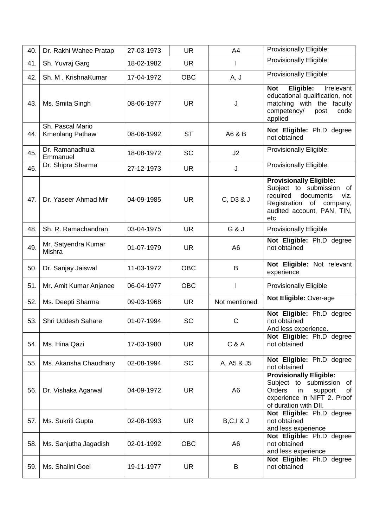| 40. | Dr. Rakhi Wahee Pratap              | 27-03-1973 | <b>UR</b>  | A4             | Provisionally Eligible:                                                                                                                                         |
|-----|-------------------------------------|------------|------------|----------------|-----------------------------------------------------------------------------------------------------------------------------------------------------------------|
| 41. | Sh. Yuvraj Garg                     | 18-02-1982 | <b>UR</b>  | $\mathsf{I}$   | Provisionally Eligible:                                                                                                                                         |
| 42. | Sh. M. KrishnaKumar                 | 17-04-1972 | <b>OBC</b> | A, J           | Provisionally Eligible:                                                                                                                                         |
| 43. | Ms. Smita Singh                     | 08-06-1977 | <b>UR</b>  | J              | Eligible:<br>Irrelevant<br><b>Not</b><br>educational qualification, not<br>matching with the faculty<br>competency/<br>post<br>code<br>applied                  |
| 44. | Sh. Pascal Mario<br>Kmenlang Pathaw | 08-06-1992 | <b>ST</b>  | A6 & B         | Not Eligible: Ph.D degree<br>not obtained                                                                                                                       |
| 45. | Dr. Ramanadhula<br>Emmanuel         | 18-08-1972 | <b>SC</b>  | J2             | Provisionally Eligible:                                                                                                                                         |
| 46. | Dr. Shipra Sharma                   | 27-12-1973 | <b>UR</b>  | J              | Provisionally Eligible:                                                                                                                                         |
| 47. | Dr. Yaseer Ahmad Mir                | 04-09-1985 | <b>UR</b>  | C, D3 & J      | <b>Provisionally Eligible:</b><br>Subject to submission of<br>required<br>documents<br>viz.<br>of company,<br>Registration<br>audited account, PAN, TIN,<br>etc |
| 48. | Sh. R. Ramachandran                 | 03-04-1975 | <b>UR</b>  | G & J          | <b>Provisionally Eligible</b>                                                                                                                                   |
| 49. | Mr. Satyendra Kumar<br>Mishra       | 01-07-1979 | <b>UR</b>  | A <sub>6</sub> | Not Eligible: Ph.D degree<br>not obtained                                                                                                                       |
| 50. | Dr. Sanjay Jaiswal                  | 11-03-1972 | <b>OBC</b> | B              | Not Eligible: Not relevant<br>experience                                                                                                                        |
| 51. | Mr. Amit Kumar Anjanee              | 06-04-1977 | <b>OBC</b> |                | <b>Provisionally Eligible</b>                                                                                                                                   |
| 52. | Ms. Deepti Sharma                   | 09-03-1968 | <b>UR</b>  | Not mentioned  | Not Eligible: Over-age                                                                                                                                          |
| 53. | Shri Uddesh Sahare                  | 01-07-1994 | <b>SC</b>  | $\mathsf C$    | Not Eligible: Ph.D degree<br>not obtained<br>And less experience.                                                                                               |
| 54. | Ms. Hina Qazi                       | 17-03-1980 | <b>UR</b>  | C & A          | Not Eligible: Ph.D degree<br>not obtained                                                                                                                       |
| 55. | Ms. Akansha Chaudhary               | 02-08-1994 | <b>SC</b>  | A, A5 & J5     | Not Eligible: Ph.D degree<br>not obtained                                                                                                                       |
| 56. | Dr. Vishaka Agarwal                 | 04-09-1972 | UR.        | A <sub>6</sub> | <b>Provisionally Eligible:</b><br>Subject to submission<br>of<br><b>Orders</b><br>in<br>of<br>support<br>experience in NIFT 2. Proof<br>of duration with DII.   |
| 57. | Ms. Sukriti Gupta                   | 02-08-1993 | <b>UR</b>  | $B, C, I$ & J  | Not Eligible: Ph.D degree<br>not obtained<br>and less experience                                                                                                |
| 58. | Ms. Sanjutha Jagadish               | 02-01-1992 | <b>OBC</b> | A6             | Not Eligible: Ph.D degree<br>not obtained<br>and less experience                                                                                                |
| 59. | Ms. Shalini Goel                    | 19-11-1977 | <b>UR</b>  | B              | Not Eligible: Ph.D degree<br>not obtained                                                                                                                       |